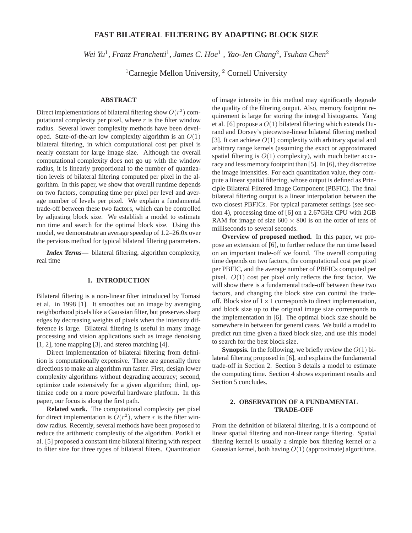# **FAST BILATERAL FILTERING BY ADAPTING BLOCK SIZE**

Wei Yu<sup>1</sup>, Franz Franchetti<sup>1</sup>, James C. Hoe<sup>1</sup>, Yao-Jen Chang<sup>2</sup>, Tsuhan Chen<sup>2</sup>

 ${}^{1}$ Carnegie Mellon University,  ${}^{2}$  Cornell University

# **ABSTRACT**

Direct implementations of bilateral filtering show  $O(r^2)$  computational complexity per pixel, where  $r$  is the filter window radius. Several lower complexity methods have been developed. State-of-the-art low complexity algorithm is an  $O(1)$ bilateral filtering, in which computational cost per pixel is nearly constant for large image size. Although the overall computational complexity does not go up with the window radius, it is linearly proportional to the number of quantization levels of bilateral filtering computed per pixel in the algorithm. In this paper, we show that overall runtime depends on two factors, computing time per pixel per level and average number of levels per pixel. We explain a fundamental trade-off between these two factors, which can be controlled by adjusting block size. We establish a model to estimate run time and search for the optimal block size. Using this model, we demonstrate an average speedup of 1.2–26.0x over the pervious method for typical bilateral filtering parameters.

*Index Terms***—** bilateral filtering, algorithm complexity, real time

### **1. INTRODUCTION**

Bilateral filtering is a non-linear filter introduced by Tomasi et al. in 1998 [1]. It smoothes out an image by averaging neighborhood pixels like a Gaussian filter, but preserves sharp edges by decreasing weights of pixels when the intensity difference is large. Bilateral filtering is useful in many image processing and vision applications such as image denoising [1, 2], tone mapping [3], and stereo matching [4].

Direct implementation of bilateral filtering from definition is computationally expensive. There are generally three directions to make an algorithm run faster. First, design lower complexity algorithms without degrading accuracy; second, optimize code extensively for a given algorithm; third, optimize code on a more powerful hardware platform. In this paper, our focus is along the first path.

**Related work.** The computational complexity per pixel for direct implementation is  $O(r^2)$ , where r is the filter window radius. Recently, several methods have been proposed to reduce the arithmetic complexity of the algorithm. Porikli et al. [5] proposed a constant time bilateral filtering with respect to filter size for three types of bilateral filters. Quantization

of image intensity in this method may significantly degrade the quality of the filtering output. Also, memory footprint requirement is large for storing the integral histograms. Yang et al. [6] propose a  $O(1)$  bilateral filtering which extends Durand and Dorsey's piecewise-linear bilateral filtering method [3]. It can achieve  $O(1)$  complexity with arbitrary spatial and arbitrary range kernels (assuming the exact or approximated spatial filtering is  $O(1)$  complexity), with much better accuracy and less memory footprint than [5]. In [6], they discretize the image intensities. For each quantization value, they compute a linear spatial filtering, whose output is defined as Principle Bilateral Filtered Image Component (PBFIC). The final bilateral filtering output is a linear interpolation between the two closest PBFICs. For typical parameter settings (see section 4), processing time of [6] on a 2.67GHz CPU with 2GB RAM for image of size  $600 \times 800$  is on the order of tens of milliseconds to several seconds.

**Overview of proposed method.** In this paper, we propose an extension of [6], to further reduce the run time based on an important trade-off we found. The overall computing time depends on two factors, the computational cost per pixel per PBFIC, and the average number of PBFICs computed per pixel.  $O(1)$  cost per pixel only reflects the first factor. We will show there is a fundamental trade-off between these two factors, and changing the block size can control the tradeoff. Block size of  $1 \times 1$  corresponds to direct implementation, and block size up to the original image size corresponds to the implementation in [6]. The optimal block size should be somewhere in between for general cases. We build a model to predict run time given a fixed block size, and use this model to search for the best block size.

**Synopsis.** In the following, we briefly review the  $O(1)$  bilateral filtering proposed in [6], and explains the fundamental trade-off in Section 2. Section 3 details a model to estimate the computing time. Section 4 shows experiment results and Section 5 concludes.

# **2. OBSERVATION OF A FUNDAMENTAL TRADE-OFF**

From the definition of bilateral filtering, it is a compound of linear spatial filtering and non-linear range filtering. Spatial filtering kernel is usually a simple box filtering kernel or a Gaussian kernel, both having  $O(1)$  (approximate) algorithms.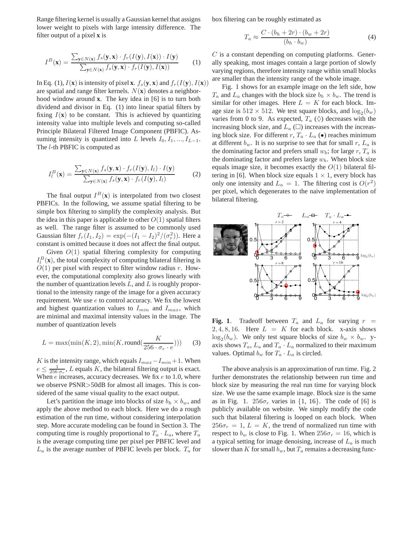Range filtering kernel is usually a Gaussian kernel that assigns lower weight to pixels with large intensity difference. The filter output of a pixel **x** is

$$
I^{B}(\mathbf{x}) = \frac{\sum_{\mathbf{y} \in N(\mathbf{x})} f_{s}(\mathbf{y}, \mathbf{x}) \cdot f_{r}(I(\mathbf{y}), I(\mathbf{x})) \cdot I(\mathbf{y})}{\sum_{\mathbf{y} \in N(\mathbf{x})} f_{s}(\mathbf{y}, \mathbf{x}) \cdot f_{r}(I(\mathbf{y}), I(\mathbf{x}))}
$$
(1)

In Eq. (1),  $I(\mathbf{x})$  is intensity of pixel **x**.  $f_s(\mathbf{y}, \mathbf{x})$  and  $f_r(I(\mathbf{y}), I(\mathbf{x}))$ are spatial and range filter kernels.  $N(\mathbf{x})$  denotes a neighborhood window around **x**. The key idea in [6] is to turn both dividend and divisor in Eq. (1) into linear spatial filters by fixing  $I(x)$  to be constant. This is achieved by quantizing intensity value into multiple levels and computing so-called Principle Bilateral Filtered Image Component (PBFIC). Assuming intensity is quantized into L levels  $I_0, I_1, ..., I_{L-1}$ . The l-th PBFIC is computed as

$$
I_l^B(\mathbf{x}) = \frac{\sum_{\mathbf{y} \in N(\mathbf{x})} f_s(\mathbf{y}, \mathbf{x}) \cdot f_r(I(\mathbf{y}), I_l) \cdot I(\mathbf{y})}{\sum_{\mathbf{y} \in N(\mathbf{x})} f_s(\mathbf{y}, \mathbf{x}) \cdot f_r(I(\mathbf{y}), I_l)}
$$
(2)

The final output  $I^B(\mathbf{x})$  is interpolated from two closest PBFICs. In the following, we assume spatial filtering to be simple box filtering to simplify the complexity analysis. But the idea in this paper is applicable to other  $O(1)$  spatial filters as well. The range filter is assumed to be commonly used Gaussian filter  $f_r(I_1, I_2) = \exp(-(I_1 - I_2)^2/(\sigma_r^2))$ . Here a constant is omitted because it does not affect the final output.

Given  $O(1)$  spatial filtering complexity for computing  $I_l^B(\mathbf{x})$ , the total complexity of computing bilateral filtering is  $O(1)$  per pixel with respect to filter window radius r. However, the computational complexity also grows linearly with the number of quantization levels  $L$ , and  $L$  is roughly proportional to the intensity range of the image for a given accuracy requirement. We use e to control accuracy. We fix the lowest and highest quantization values to  $I_{min}$  and  $I_{max}$ , which are minimal and maximal intensity values in the image. The number of quantization levels

$$
L = \max(\min(K, 2), \min(K, \text{round}(\frac{K}{256 \cdot \sigma_r \cdot e}))) \tag{3}
$$

K is the intensity range, which equals  $I_{max}-I_{min}+1$ . When  $e \leq \frac{1}{256 \cdot \sigma_r}$ , L equals K, the bilateral filtering output is exact. When  $e$  increases, accuracy decreases. We fix  $e$  to 1.0, where we observe PSNR>50dB for almost all images. This is considered of the same visual quality to the exact output.

Let's partition the image into blocks of size  $b_h \times b_w$ , and apply the above method to each block. Here we do a rough estimation of the run time, without considering interpolation step. More accurate modeling can be found in Section 3. The computing time is roughly proportional to  $T_a \cdot L_a$ , where  $T_a$ is the average computing time per pixel per PBFIC level and  $L_a$  is the average number of PBFIC levels per block.  $T_a$  for

box filtering can be roughly estimated as

$$
T_a \approx \frac{C \cdot (b_h + 2r) \cdot (b_w + 2r)}{(b_h \cdot b_w)}\tag{4}
$$

 $C$  is a constant depending on computing platforms. Generally speaking, most images contain a large portion of slowly varying regions, therefore intensity range within small blocks are smaller than the intensity range of the whole image.

Fig. 1 shows for an example image on the left side, how  $T_a$  and  $L_a$  changes with the block size  $b_h \times b_w$ . The trend is similar for other images. Here  $L = K$  for each block. Image size is  $512 \times 512$ . We test square blocks, and  $\log_2(b_w)$ varies from 0 to 9. As expected,  $T_a$  ( $\diamond$ ) decreases with the increasing block size, and  $L_a$  ( $\square$ ) increases with the increasing block size. For different r,  $T_a \cdot L_a$  ( $\bullet$ ) reaches minimum at different  $b_w$ . It is no surprise to see that for small r,  $L_a$  is the dominating factor and prefers small  $w_b$ ; for large r,  $T_a$  is the dominating factor and prefers large  $w_b$ . When block size equals image size, it becomes exactly the  $O(1)$  bilateral filtering in [6]. When block size equals  $1 \times 1$ , every block has only one intensity and  $L_a = 1$ . The filtering cost is  $O(r^2)$ per pixel, which degenerates to the naive implementation of bilateral filtering.



**Fig. 1**. Tradeoff between  $T_a$  and  $L_a$  for varying  $r =$ 2, 4, 8, 16. Here  $L = K$  for each block. x-axis shows  $\log_2(b_w)$ . We only test square blocks of size  $b_w \times b_w$ . yaxis shows  $T_a$ ,  $L_a$  and  $T_a \cdot L_a$  normalized to their maximum values. Optimal  $b_w$  for  $T_a \cdot L_a$  is circled.

The above analysis is an approximation of run time. Fig. 2 further demonstrates the relationship between run time and block size by measuring the real run time for varying block size. We use the same example image. Block size is the same as in Fig. 1.  $256\sigma_r$  varies in  $\{1, 16\}$ . The code of [6] is publicly available on website. We simply modify the code such that bilateral filtering is looped on each block. When  $256\sigma_r = 1, L = K$ , the trend of normalized run time with respect to  $b_w$  is close to Fig. 1. When  $256\sigma_r = 16$ , which is a typical setting for image denoising, increase of  $L_a$  is much slower than K for small  $b_w$ , but  $T_a$  remains a decreasing func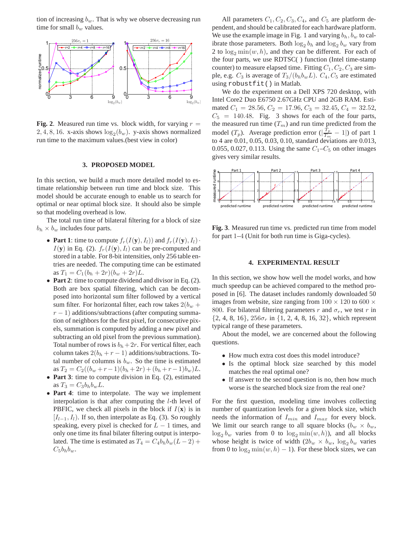tion of increasing  $b_w$ . That is why we observe decreasing run time for small  $b_w$  values.



**Fig. 2**. Measured run time vs. block width, for varying  $r =$ 2, 4, 8, 16. x-axis shows  $log_2(b_w)$ . y-axis shows normalized run time to the maximum values.(best view in color)

#### **3. PROPOSED MODEL**

In this section, we build a much more detailed model to estimate relationship between run time and block size. This model should be accurate enough to enable us to search for optimal or near optimal block size. It should also be simple so that modeling overhead is low.

The total run time of bilateral filtering for a block of size  $b_h \times b_w$  includes four parts.

- **Part 1**: time to compute  $f_r(I(\mathbf{y}), I_l)$  and  $f_r(I(\mathbf{y}), I_l)$ .  $I(\mathbf{y})$  in Eq. (2).  $f_r(I(\mathbf{y}), I_l)$  can be pre-computed and stored in a table. For 8-bit intensities, only 256 table entries are needed. The computing time can be estimated as  $T_1 = C_1(b_h + 2r)(b_w + 2r)L$ .
- **Part 2**: time to compute dividend and divisor in Eq. (2). Both are box spatial filtering, which can be decomposed into horizontal sum filter followed by a vertical sum filter. For horizontal filter, each row takes  $2(b_w +$  $r - 1$ ) additions/subtractions (after computing summation of neighbors for the first pixel, for consecutive pixels, summation is computed by adding a new pixel and subtracting an old pixel from the previous summation). Total number of rows is  $b_h+2r$ . For vertical filter, each column takes  $2(b_h + r - 1)$  additions/subtractions. Total number of columns is  $b_w$ . So the time is estimated as  $T_2 = C_2((b_w + r - 1)(b_h + 2r) + (b_h + r - 1)b_w)L$ .
- **Part 3**: time to compute division in Eq. (2), estimated as  $T_3 = C_3 b_h b_w L$ .
- **Part 4**: time to interpolate. The way we implement interpolation is that after computing the l-th level of PBFIC, we check all pixels in the block if  $I(\mathbf{x})$  is in  $[I_{l-1}, I_l]$ . If so, then interpolate as Eq. (3). So roughly speaking, every pixel is checked for  $L - 1$  times, and only one time its final bilater filtering output is interpolated. The time is estimated as  $T_4 = C_4 b_h b_w (L - 2) +$  $C_5b_hb_w$ .

All parameters  $C_1, C_2, C_3, C_4$ , and  $C_5$  are platform dependent, and should be calibrated for each hardware platform. We use the example image in Fig. 1 and varying  $b_h$ ,  $b_w$  to calibrate those parameters. Both  $\log_2 b_h$  and  $\log_2 b_w$  vary from 2 to  $\log_2 \min(w, h)$ , and they can be different. For each of the four parts, we use RDTSC( ) function (Intel time-stamp counter) to measure elapsed time. Fitting  $C_1, C_2, C_3$  are simple, e.g.  $C_3$  is average of  $T_3/(b_h b_w L)$ .  $C_4, C_5$  are estimated using robustfit() in Matlab.

We do the experiment on a Dell XPS 720 desktop, with Intel Core2 Duo E6750 2.67GHz CPU and 2GB RAM. Estimated  $C_1 = 28.56$ ,  $C_2 = 17.96$ ,  $C_3 = 32.45$ ,  $C_4 = 32.52$ ,  $C_5 = 140.48$ . Fig. 3 shows for each of the four parts, the measured run time  $(T_m)$  and run time predicted from the model  $(T_p)$ . Average prediction error  $\left(\frac{T_p}{T_m}\right)$  $\frac{I_p}{T_m} - 1$ ) of part 1 to 4 are 0.01, 0.05, 0.03, 0.10, standard deviations are 0.013, 0.055, 0.027, 0.113. Using the same  $C_1 - C_5$  on other images gives very similar results.



**Fig. 3**. Measured run time vs. predicted run time from model for part 1–4 (Unit for both run time is Giga-cycles).

## **4. EXPERIMENTAL RESULT**

In this section, we show how well the model works, and how much speedup can be achieved compared to the method proposed in [6]. The dataset includes randomly downloaded 50 images from website, size ranging from  $100 \times 120$  to  $600 \times$ 800. For bilateral filtering parameters r and  $\sigma_r$ , we test r in  $\{2, 4, 8, 16\}, 256\sigma_r$  in  $\{1, 2, 4, 8, 16, 32\}$ , which represent typical range of these parameters.

About the model, we are concerned about the following questions.

- How much extra cost does this model introduce?
- Is the optimal block size searched by this model matches the real optimal one?
- If answer to the second question is no, then how much worse is the searched block size from the real one?

For the first question, modeling time involves collecting number of quantization levels for a given block size, which needs the information of  $I_{min}$  and  $I_{max}$  for every block. We limit our search range to all square blocks ( $b_w \times b_w$ ,  $\log_2 b_w$  varies from 0 to  $\log_2 \min(w, h)$ , and all blocks whose height is twice of width  $(2b_w \times b_w, \log_2 b_w)$  varies from 0 to  $\log_2 \min(w, h) - 1$ . For these block sizes, we can